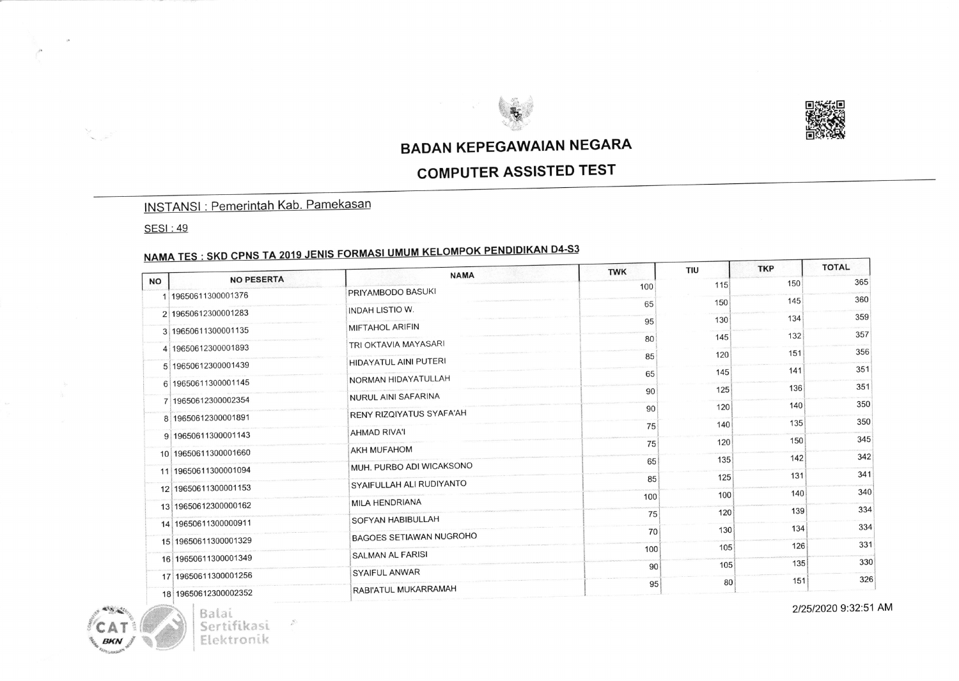



### **BADAN KEPEGAWAIAN NEGARA**

#### **COMPUTER ASSISTED TEST**

#### **INSTANSI: Pemerintah Kab. Pamekasan**

**SESI: 49** 

 $\mathcal{L}$ 

# <u>NAMA TES : SKD CPNS TA 2019 JENIS FORMASI UMUM KELOMPOK PENDIDIKAN D4-S3</u>

|                                | <b>NAMA</b>                    | <b>TWK</b> | <b>TIU</b> | <b>TKP</b> | <b>TOTAL</b> |
|--------------------------------|--------------------------------|------------|------------|------------|--------------|
| <b>NO PESERTA</b><br><b>NO</b> |                                | 100        | 115        | 150        | 365          |
| 1 19650611300001376            | PRIYAMBODO BASUKI              | 65         | 150        | 145        | 360          |
| 2 19650612300001283            | INDAH LISTIO W.                |            |            | 134        | 359          |
| 3 19650611300001135            | MIFTAHOL ARIFIN                | 95         | 130        |            |              |
| 4 19650612300001893            | TRI OKTAVIA MAYASARI           | 80         | 145        | 132        | 357          |
|                                | <b>HIDAYATUL AINI PUTERI</b>   | 85         | 120        | 151        | 356          |
| 5 19650612300001439            |                                | 65         | 145        | 141        | 351          |
| 6 19650611300001145            | NORMAN HIDAYATULLAH            | 90         | 125        | 136        | 351          |
| 7 19650612300002354            | NURUL AINI SAFARINA            |            |            | 140        | 350          |
| 8 19650612300001891            | RENY RIZQIYATUS SYAFA'AH       | 90         | 120        |            |              |
| 9 19650611300001143            | AHMAD RIVA'I                   | 75         | 140        | 135        | 350          |
|                                | <b>AKH MUFAHOM</b>             | 75         | 120        | 150        | 345          |
| 10 19650611300001660           |                                | 65         | 135        | 142        | 342          |
| 11 19650611300001094           | MUH. PURBO ADI WICAKSONO       | 85         | 125        | 131        | 341          |
| 12 19650611300001153           | SYAIFULLAH ALI RUDIYANTO       |            |            | 140        | 340          |
| 13 19650612300000162           | MILA HENDRIANA                 | 100        | 100        |            |              |
|                                | SOFYAN HABIBULLAH              | 75         | 120        | 139        | 334          |
| 14 19650611300000911           | <b>BAGOES SETIAWAN NUGROHO</b> | 70         | 130        | 134        | 334          |
| 15 19650611300001329           |                                | 100        | 105        | 126        | 331          |
| 16 19650611300001349           | SALMAN AL FARISI               | 90         | 105        | 135        | 330          |
| 17 19650611300001256           | SYAIFUL ANWAR                  |            |            | 151        | 326          |
| 18 19650612300002352           | RABI'ATUL MUKARRAMAH           | 95         | 80         |            |              |

Balai Sertifikasi Elektronik

 $\frac{d\vec{r}}{d\vec{r}}$ 

2/25/2020 9:32:51 AM